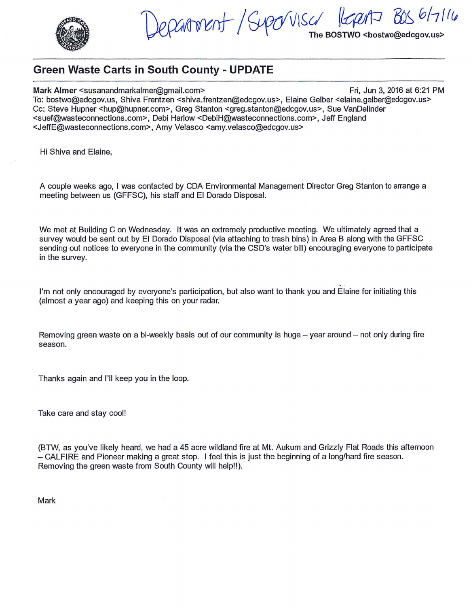

Jepanment/Suporvisa  $6/7116$ lopt The BOSTWO <bostwo@edcgov.us>

## **Green Waste Carts in South County - UPDATE**

**Mark Almer <susanandmarkalmer@gmail.com> Fri, Jun 3, 2016 at 6:21 PM** To: bostwo@edcgov.us, Shiva Frentzen <shiva.frentzen@edcgov.us>, Elaine Gelber <elaine.gelber@edcgov.us> Cc: Steve Hupner <hup@hupner.com>, Greg Stanton <greg.stanton@edcgov.us>, Sue VanDelinder <suef@wasteconnections.com>, Debi Harlow <DebiH@wasteconnections.com>, Jeff England <JeffE@wasteconnections.com>, Amy Velasco <amy.velasco@edcgov.us>

Hi Shiva and Elaine,

A couple weeks ago, I was contacted by CDA Environmental Management Director Greg Stanton to arrange a meeting between us (GFFSC), his staff and El Dorado Disposal.

We met at Building C on Wednesday. It was an extremely productive meeting. We ultimately agreed that a survey would be sent out by El Dorado Disposal (via attaching to trash bins) in Area B along with the GFFSC sending out notices to everyone in the community (via the CSD's water bill) encouraging everyone to participate in the survey.

- . I'm not only encouraged by everyone's participation, but also want to thank you and Elaine for initiating this (almost a year ago) and keeping this on your radar.

Removing green waste on a bi-weekly basis out of our community is huge - year around - not only during fire season.

Thanks again and I'll keep you in the loop.

Take care and stay cool!

(BTW, as you've likely heard, we had a 45 acre wildland fire at Mt. Aukum and Grizzly Flat Roads this afternoon - CALFIRE and Pioneer making a great stop. I feel this is just the beginning of a long/hard fire season. Removing the green waste from South County will help!!).

Mark